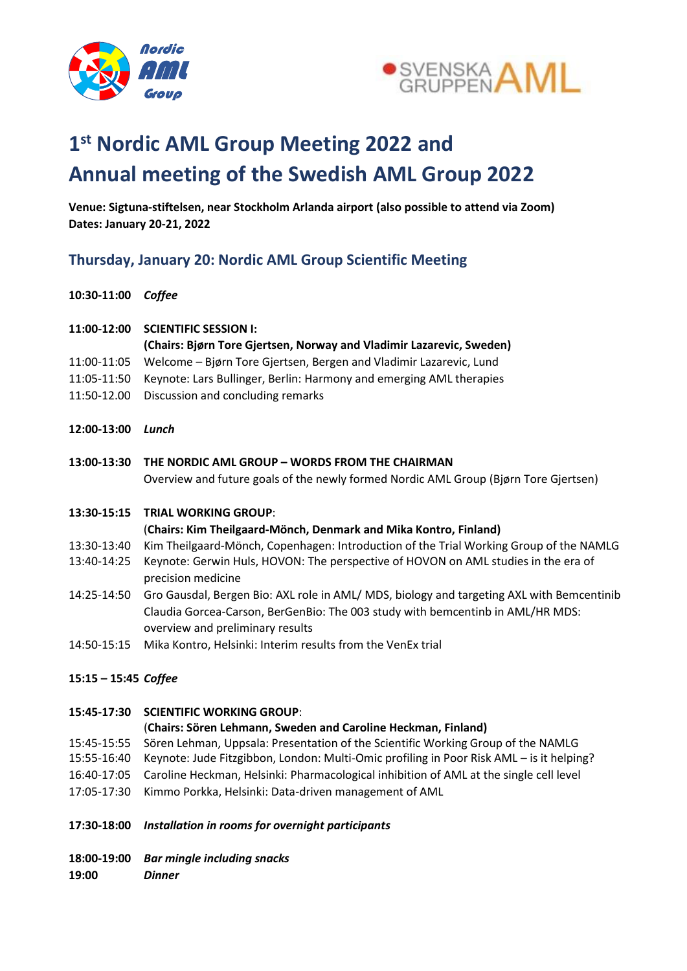

**10:30-11:00** *Coffee*



## **1 st Nordic AML Group Meeting 2022 and Annual meeting of the Swedish AML Group 2022**

**Venue: Sigtuna-stiftelsen, near Stockholm Arlanda airport (also possible to attend via Zoom) Dates: January 20-21, 2022**

## **Thursday, January 20: Nordic AML Group Scientific Meeting**

| 11:00-12:00          | <b>SCIENTIFIC SESSION I:</b>                                                                                                                                                                                    |
|----------------------|-----------------------------------------------------------------------------------------------------------------------------------------------------------------------------------------------------------------|
|                      | (Chairs: Bjørn Tore Gjertsen, Norway and Vladimir Lazarevic, Sweden)                                                                                                                                            |
| 11:00-11:05          | Welcome - Bjørn Tore Gjertsen, Bergen and Vladimir Lazarevic, Lund                                                                                                                                              |
| 11:05-11:50          | Keynote: Lars Bullinger, Berlin: Harmony and emerging AML therapies                                                                                                                                             |
| 11:50-12.00          | Discussion and concluding remarks                                                                                                                                                                               |
| 12:00-13:00          | Lunch                                                                                                                                                                                                           |
| 13:00-13:30          | THE NORDIC AML GROUP - WORDS FROM THE CHAIRMAN                                                                                                                                                                  |
|                      | Overview and future goals of the newly formed Nordic AML Group (Bjørn Tore Gjertsen)                                                                                                                            |
| 13:30-15:15          | <b>TRIAL WORKING GROUP:</b>                                                                                                                                                                                     |
|                      | (Chairs: Kim Theilgaard-Mönch, Denmark and Mika Kontro, Finland)                                                                                                                                                |
| 13:30-13:40          | Kim Theilgaard-Mönch, Copenhagen: Introduction of the Trial Working Group of the NAMLG                                                                                                                          |
| 13:40-14:25          | Keynote: Gerwin Huls, HOVON: The perspective of HOVON on AML studies in the era of<br>precision medicine                                                                                                        |
| 14:25-14:50          | Gro Gausdal, Bergen Bio: AXL role in AML/ MDS, biology and targeting AXL with Bemcentinib<br>Claudia Gorcea-Carson, BerGenBio: The 003 study with bemcentinb in AML/HR MDS:<br>overview and preliminary results |
| 14:50-15:15          | Mika Kontro, Helsinki: Interim results from the VenEx trial                                                                                                                                                     |
| 15:15 - 15:45 Coffee |                                                                                                                                                                                                                 |
| 15:45-17:30          | <b>SCIENTIFIC WORKING GROUP:</b>                                                                                                                                                                                |
|                      | (Chairs: Sören Lehmann, Sweden and Caroline Heckman, Finland)                                                                                                                                                   |
| 15:45-15:55          | Sören Lehman, Uppsala: Presentation of the Scientific Working Group of the NAMLG                                                                                                                                |
| 15:55-16:40          | Keynote: Jude Fitzgibbon, London: Multi-Omic profiling in Poor Risk AML - is it helping?                                                                                                                        |
| 16:40-17:05          | Caroline Heckman, Helsinki: Pharmacological inhibition of AML at the single cell level                                                                                                                          |
| 17:05-17:30          | Kimmo Porkka, Helsinki: Data-driven management of AML                                                                                                                                                           |
| 17:30-18:00          | Installation in rooms for overnight participants                                                                                                                                                                |
| 18:00-19:00          | <b>Bar mingle including snacks</b>                                                                                                                                                                              |
| 19:00                | <b>Dinner</b>                                                                                                                                                                                                   |